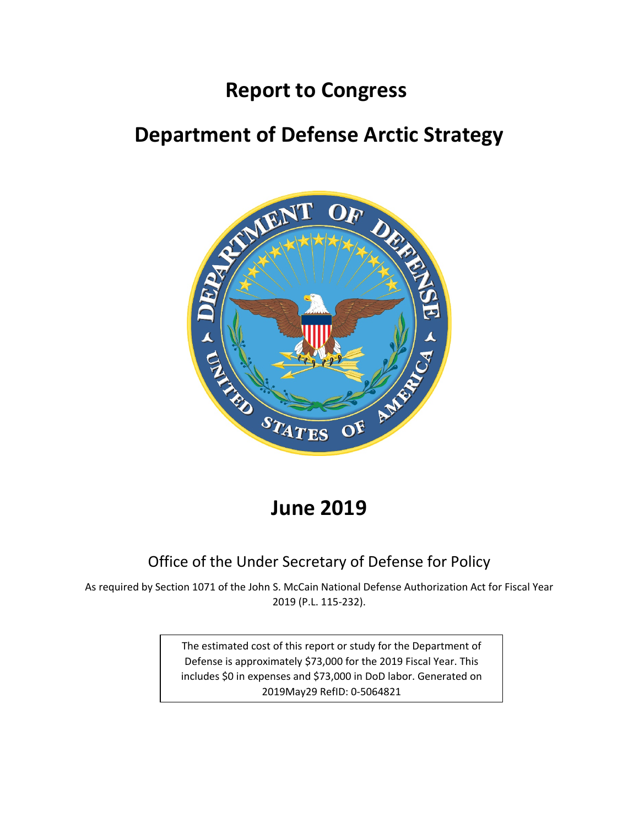## **Report to Congress**

# **Department of Defense Arctic Strategy**



## **June 2019**

## Office of the Under Secretary of Defense for Policy

As required by Section 1071 of the John S. McCain National Defense Authorization Act for Fiscal Year 2019 (P.L. 115-232).

> The estimated cost of this report or study for the Department of Defense is approximately \$73,000 for the 2019 Fiscal Year. This includes \$0 in expenses and \$73,000 in DoD labor. Generated on 2019May29 RefID: 0-5064821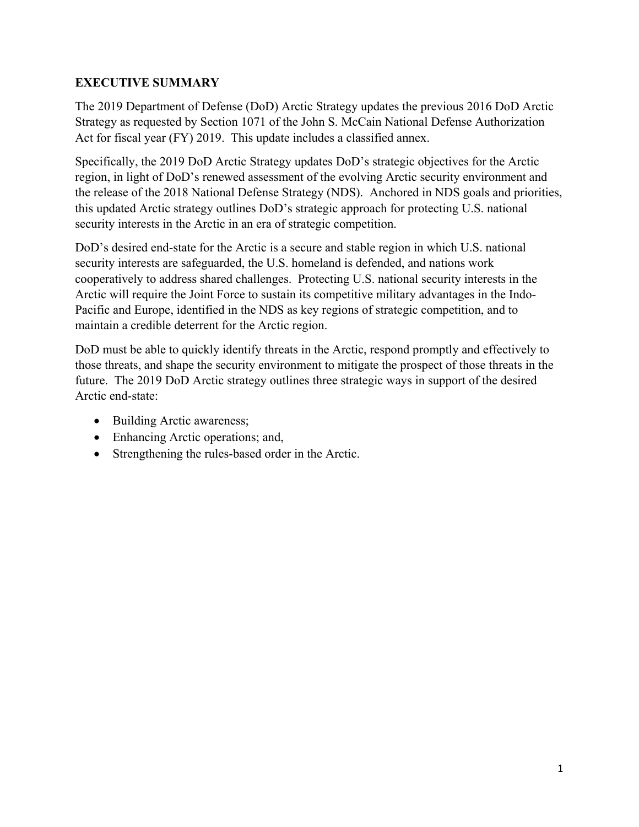## **EXECUTIVE SUMMARY**

The 2019 Department of Defense (DoD) Arctic Strategy updates the previous 2016 DoD Arctic Strategy as requested by Section 1071 of the John S. McCain National Defense Authorization Act for fiscal year (FY) 2019. This update includes a classified annex.

Specifically, the 2019 DoD Arctic Strategy updates DoD's strategic objectives for the Arctic region, in light of DoD's renewed assessment of the evolving Arctic security environment and the release of the 2018 National Defense Strategy (NDS). Anchored in NDS goals and priorities, this updated Arctic strategy outlines DoD's strategic approach for protecting U.S. national security interests in the Arctic in an era of strategic competition.

DoD's desired end-state for the Arctic is a secure and stable region in which U.S. national security interests are safeguarded, the U.S. homeland is defended, and nations work cooperatively to address shared challenges. Protecting U.S. national security interests in the Arctic will require the Joint Force to sustain its competitive military advantages in the Indo-Pacific and Europe, identified in the NDS as key regions of strategic competition, and to maintain a credible deterrent for the Arctic region.

DoD must be able to quickly identify threats in the Arctic, respond promptly and effectively to those threats, and shape the security environment to mitigate the prospect of those threats in the future. The 2019 DoD Arctic strategy outlines three strategic ways in support of the desired Arctic end-state:

- Building Arctic awareness;
- Enhancing Arctic operations; and,
- Strengthening the rules-based order in the Arctic.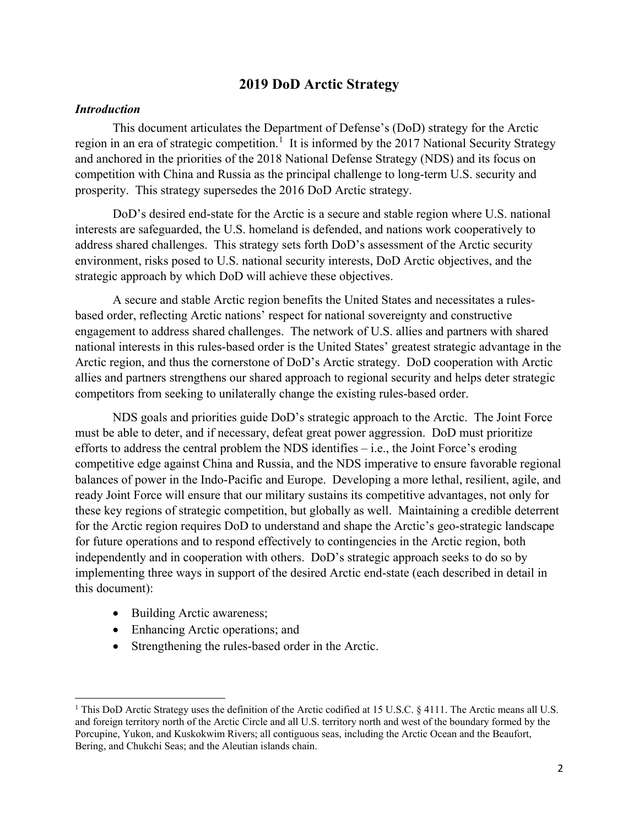## **2019 DoD Arctic Strategy**

#### *Introduction*

This document articulates the Department of Defense's (DoD) strategy for the Arctic region in an era of strategic competition.<sup>1</sup> It is informed by the 2017 National Security Strategy and anchored in the priorities of the 2018 National Defense Strategy (NDS) and its focus on competition with China and Russia as the principal challenge to long-term U.S. security and prosperity. This strategy supersedes the 2016 DoD Arctic strategy.

DoD's desired end-state for the Arctic is a secure and stable region where U.S. national interests are safeguarded, the U.S. homeland is defended, and nations work cooperatively to address shared challenges. This strategy sets forth DoD's assessment of the Arctic security environment, risks posed to U.S. national security interests, DoD Arctic objectives, and the strategic approach by which DoD will achieve these objectives.

A secure and stable Arctic region benefits the United States and necessitates a rulesbased order, reflecting Arctic nations' respect for national sovereignty and constructive engagement to address shared challenges. The network of U.S. allies and partners with shared national interests in this rules-based order is the United States' greatest strategic advantage in the Arctic region, and thus the cornerstone of DoD's Arctic strategy. DoD cooperation with Arctic allies and partners strengthens our shared approach to regional security and helps deter strategic competitors from seeking to unilaterally change the existing rules-based order.

NDS goals and priorities guide DoD's strategic approach to the Arctic. The Joint Force must be able to deter, and if necessary, defeat great power aggression. DoD must prioritize efforts to address the central problem the NDS identifies – i.e., the Joint Force's eroding competitive edge against China and Russia, and the NDS imperative to ensure favorable regional balances of power in the Indo-Pacific and Europe. Developing a more lethal, resilient, agile, and ready Joint Force will ensure that our military sustains its competitive advantages, not only for these key regions of strategic competition, but globally as well. Maintaining a credible deterrent for the Arctic region requires DoD to understand and shape the Arctic's geo-strategic landscape for future operations and to respond effectively to contingencies in the Arctic region, both independently and in cooperation with others. DoD's strategic approach seeks to do so by implementing three ways in support of the desired Arctic end-state (each described in detail in this document):

• Building Arctic awareness;

 $\overline{\phantom{a}}$ 

- Enhancing Arctic operations; and
- Strengthening the rules-based order in the Arctic.

<sup>&</sup>lt;sup>1</sup> This DoD Arctic Strategy uses the definition of the Arctic codified at 15 U.S.C. § 4111. The Arctic means all U.S. and foreign territory north of the Arctic Circle and all U.S. territory north and west of the boundary formed by the Porcupine, Yukon, and Kuskokwim Rivers; all contiguous seas, including the Arctic Ocean and the Beaufort, Bering, and Chukchi Seas; and the Aleutian islands chain.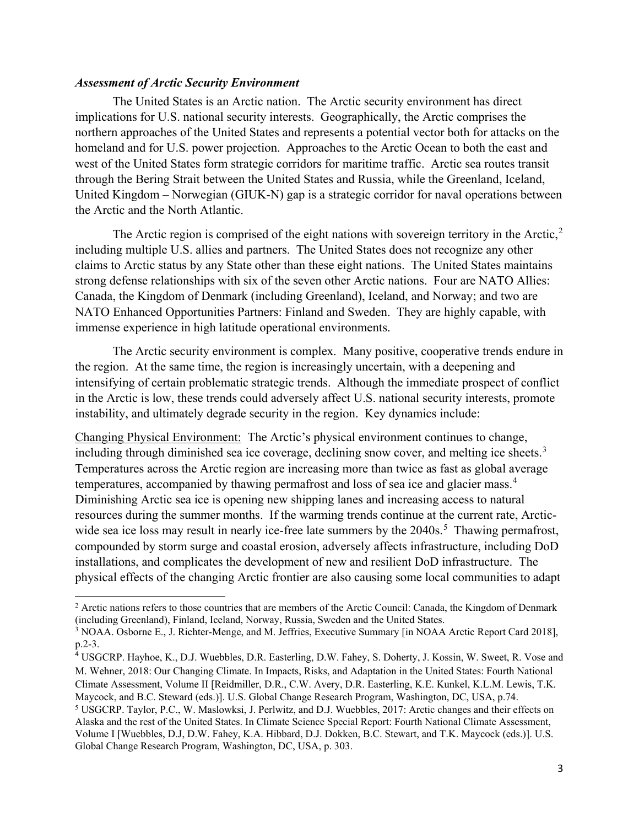#### *Assessment of Arctic Security Environment*

 $\overline{\phantom{a}}$ 

The United States is an Arctic nation. The Arctic security environment has direct implications for U.S. national security interests. Geographically, the Arctic comprises the northern approaches of the United States and represents a potential vector both for attacks on the homeland and for U.S. power projection. Approaches to the Arctic Ocean to both the east and west of the United States form strategic corridors for maritime traffic. Arctic sea routes transit through the Bering Strait between the United States and Russia, while the Greenland, Iceland, United Kingdom – Norwegian (GIUK-N) gap is a strategic corridor for naval operations between the Arctic and the North Atlantic.

The Arctic region is comprised of the eight nations with sovereign territory in the Arctic,<sup>2</sup> including multiple U.S. allies and partners. The United States does not recognize any other claims to Arctic status by any State other than these eight nations. The United States maintains strong defense relationships with six of the seven other Arctic nations. Four are NATO Allies: Canada, the Kingdom of Denmark (including Greenland), Iceland, and Norway; and two are NATO Enhanced Opportunities Partners: Finland and Sweden. They are highly capable, with immense experience in high latitude operational environments.

The Arctic security environment is complex. Many positive, cooperative trends endure in the region. At the same time, the region is increasingly uncertain, with a deepening and intensifying of certain problematic strategic trends. Although the immediate prospect of conflict in the Arctic is low, these trends could adversely affect U.S. national security interests, promote instability, and ultimately degrade security in the region. Key dynamics include:

Changing Physical Environment: The Arctic's physical environment continues to change, including through diminished sea ice coverage, declining snow cover, and melting ice sheets.<sup>3</sup> Temperatures across the Arctic region are increasing more than twice as fast as global average temperatures, accompanied by thawing permafrost and loss of sea ice and glacier mass.<sup>4</sup> Diminishing Arctic sea ice is opening new shipping lanes and increasing access to natural resources during the summer months. If the warming trends continue at the current rate, Arcticwide sea ice loss may result in nearly ice-free late summers by the  $2040s$ <sup>5</sup>. Thawing permafrost, compounded by storm surge and coastal erosion, adversely affects infrastructure, including DoD installations, and complicates the development of new and resilient DoD infrastructure. The physical effects of the changing Arctic frontier are also causing some local communities to adapt

<sup>2</sup> Arctic nations refers to those countries that are members of the Arctic Council: Canada, the Kingdom of Denmark (including Greenland), Finland, Iceland, Norway, Russia, Sweden and the United States.

<sup>3</sup> NOAA. Osborne E., J. Richter-Menge, and M. Jeffries, Executive Summary [in NOAA Arctic Report Card 2018], p.2-3.

<sup>4</sup> USGCRP. Hayhoe, K., D.J. Wuebbles, D.R. Easterling, D.W. Fahey, S. Doherty, J. Kossin, W. Sweet, R. Vose and M. Wehner, 2018: Our Changing Climate. In Impacts, Risks, and Adaptation in the United States: Fourth National Climate Assessment, Volume II [Reidmiller, D.R., C.W. Avery, D.R. Easterling, K.E. Kunkel, K.L.M. Lewis, T.K. Maycock, and B.C. Steward (eds.)]. U.S. Global Change Research Program, Washington, DC, USA, p.74.

<sup>5</sup> USGCRP. Taylor, P.C., W. Maslowksi, J. Perlwitz, and D.J. Wuebbles, 2017: Arctic changes and their effects on Alaska and the rest of the United States. In Climate Science Special Report: Fourth National Climate Assessment, Volume I [Wuebbles, D.J, D.W. Fahey, K.A. Hibbard, D.J. Dokken, B.C. Stewart, and T.K. Maycock (eds.)]. U.S. Global Change Research Program, Washington, DC, USA, p. 303.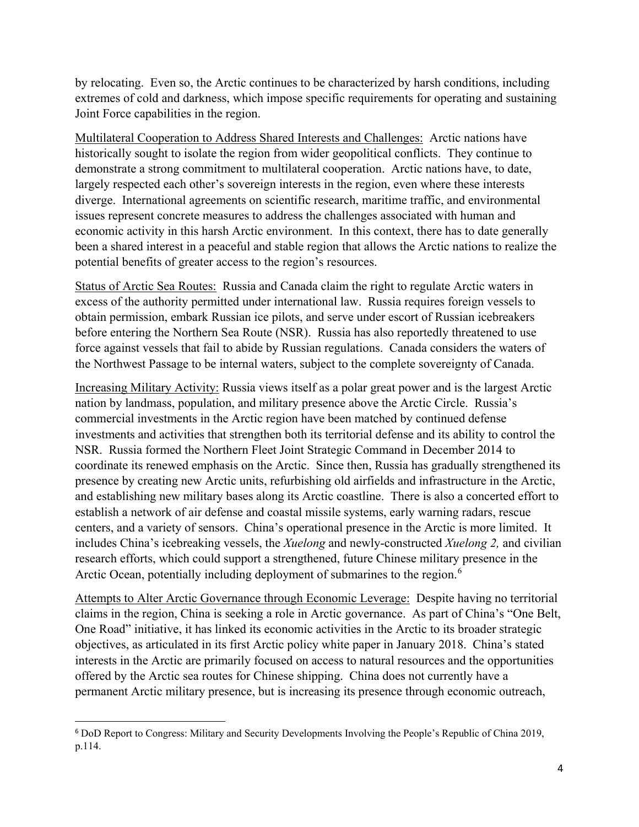by relocating. Even so, the Arctic continues to be characterized by harsh conditions, including extremes of cold and darkness, which impose specific requirements for operating and sustaining Joint Force capabilities in the region.

Multilateral Cooperation to Address Shared Interests and Challenges: Arctic nations have historically sought to isolate the region from wider geopolitical conflicts. They continue to demonstrate a strong commitment to multilateral cooperation. Arctic nations have, to date, largely respected each other's sovereign interests in the region, even where these interests diverge. International agreements on scientific research, maritime traffic, and environmental issues represent concrete measures to address the challenges associated with human and economic activity in this harsh Arctic environment. In this context, there has to date generally been a shared interest in a peaceful and stable region that allows the Arctic nations to realize the potential benefits of greater access to the region's resources.

Status of Arctic Sea Routes: Russia and Canada claim the right to regulate Arctic waters in excess of the authority permitted under international law. Russia requires foreign vessels to obtain permission, embark Russian ice pilots, and serve under escort of Russian icebreakers before entering the Northern Sea Route (NSR). Russia has also reportedly threatened to use force against vessels that fail to abide by Russian regulations. Canada considers the waters of the Northwest Passage to be internal waters, subject to the complete sovereignty of Canada.

Increasing Military Activity: Russia views itself as a polar great power and is the largest Arctic nation by landmass, population, and military presence above the Arctic Circle. Russia's commercial investments in the Arctic region have been matched by continued defense investments and activities that strengthen both its territorial defense and its ability to control the NSR. Russia formed the Northern Fleet Joint Strategic Command in December 2014 to coordinate its renewed emphasis on the Arctic. Since then, Russia has gradually strengthened its presence by creating new Arctic units, refurbishing old airfields and infrastructure in the Arctic, and establishing new military bases along its Arctic coastline. There is also a concerted effort to establish a network of air defense and coastal missile systems, early warning radars, rescue centers, and a variety of sensors. China's operational presence in the Arctic is more limited. It includes China's icebreaking vessels, the *Xuelong* and newly-constructed *Xuelong 2,* and civilian research efforts, which could support a strengthened, future Chinese military presence in the Arctic Ocean, potentially including deployment of submarines to the region.<sup>6</sup>

Attempts to Alter Arctic Governance through Economic Leverage: Despite having no territorial claims in the region, China is seeking a role in Arctic governance. As part of China's "One Belt, One Road" initiative, it has linked its economic activities in the Arctic to its broader strategic objectives, as articulated in its first Arctic policy white paper in January 2018. China's stated interests in the Arctic are primarily focused on access to natural resources and the opportunities offered by the Arctic sea routes for Chinese shipping. China does not currently have a permanent Arctic military presence, but is increasing its presence through economic outreach,

 <sup>6</sup> DoD Report to Congress: Military and Security Developments Involving the People's Republic of China 2019, p.114.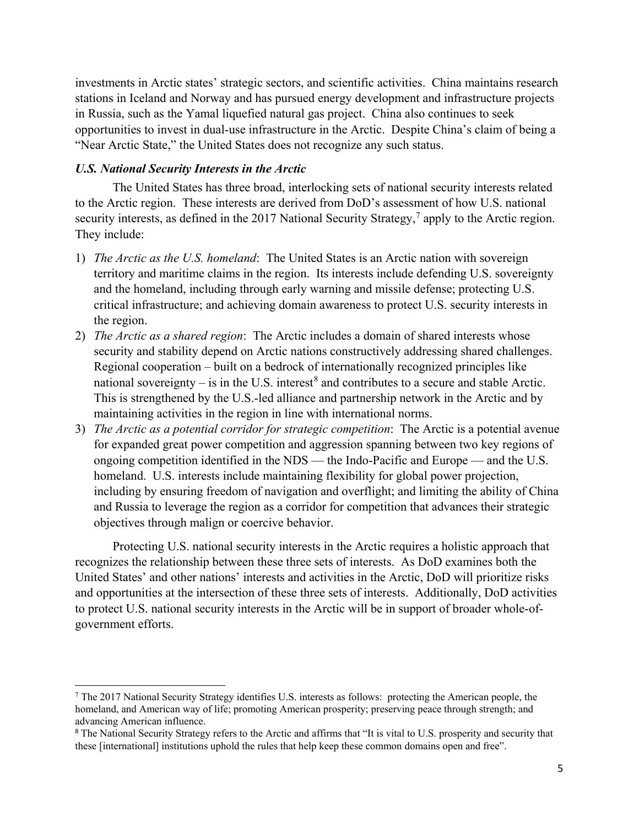investments in Arctic states' strategic sectors, and scientific activities. China maintains research stations in Iceland and Norway and has pursued energy development and infrastructure projects in Russia, such as the Yamal liquefied natural gas project. China also continues to seek opportunities to invest in dual-use infrastructure in the Arctic. Despite China's claim of being a "Near Arctic State," the United States does not recognize any such status.

#### *U.S. National Security Interests in the Arctic*

 $\overline{\phantom{a}}$ 

The United States has three broad, interlocking sets of national security interests related to the Arctic region. These interests are derived from DoD's assessment of how U.S. national security interests, as defined in the 2017 National Security Strategy,<sup>7</sup> apply to the Arctic region. They include:

- 1) *The Arctic as the U.S. homeland*: The United States is an Arctic nation with sovereign territory and maritime claims in the region. Its interests include defending U.S. sovereignty and the homeland, including through early warning and missile defense; protecting U.S. critical infrastructure; and achieving domain awareness to protect U.S. security interests in the region.
- 2) *The Arctic as a shared region*: The Arctic includes a domain of shared interests whose security and stability depend on Arctic nations constructively addressing shared challenges. Regional cooperation – built on a bedrock of internationally recognized principles like national sovereignty – is in the U.S. interest<sup>8</sup> and contributes to a secure and stable Arctic. This is strengthened by the U.S.-led alliance and partnership network in the Arctic and by maintaining activities in the region in line with international norms.
- 3) *The Arctic as a potential corridor for strategic competition*: The Arctic is a potential avenue for expanded great power competition and aggression spanning between two key regions of ongoing competition identified in the NDS — the Indo-Pacific and Europe — and the U.S. homeland. U.S. interests include maintaining flexibility for global power projection, including by ensuring freedom of navigation and overflight; and limiting the ability of China and Russia to leverage the region as a corridor for competition that advances their strategic objectives through malign or coercive behavior.

Protecting U.S. national security interests in the Arctic requires a holistic approach that recognizes the relationship between these three sets of interests. As DoD examines both the United States' and other nations' interests and activities in the Arctic, DoD will prioritize risks and opportunities at the intersection of these three sets of interests. Additionally, DoD activities to protect U.S. national security interests in the Arctic will be in support of broader whole-ofgovernment efforts.

<sup>7</sup> The 2017 National Security Strategy identifies U.S. interests as follows: protecting the American people, the homeland, and American way of life; promoting American prosperity; preserving peace through strength; and advancing American influence.

<sup>&</sup>lt;sup>8</sup> The National Security Strategy refers to the Arctic and affirms that "It is vital to U.S. prosperity and security that these [international] institutions uphold the rules that help keep these common domains open and free".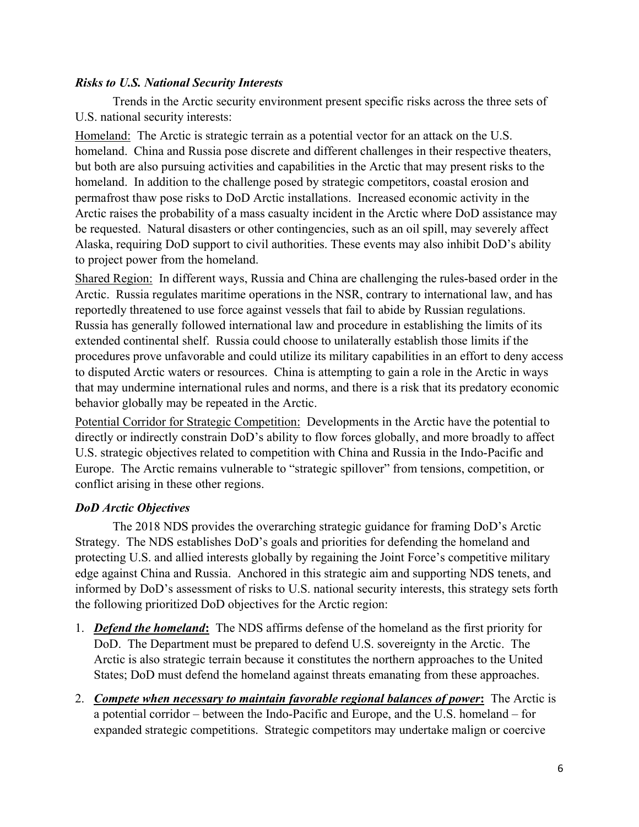## *Risks to U.S. National Security Interests*

Trends in the Arctic security environment present specific risks across the three sets of U.S. national security interests:

Homeland: The Arctic is strategic terrain as a potential vector for an attack on the U.S. homeland. China and Russia pose discrete and different challenges in their respective theaters, but both are also pursuing activities and capabilities in the Arctic that may present risks to the homeland. In addition to the challenge posed by strategic competitors, coastal erosion and permafrost thaw pose risks to DoD Arctic installations. Increased economic activity in the Arctic raises the probability of a mass casualty incident in the Arctic where DoD assistance may be requested. Natural disasters or other contingencies, such as an oil spill, may severely affect Alaska, requiring DoD support to civil authorities. These events may also inhibit DoD's ability to project power from the homeland.

Shared Region: In different ways, Russia and China are challenging the rules-based order in the Arctic. Russia regulates maritime operations in the NSR, contrary to international law, and has reportedly threatened to use force against vessels that fail to abide by Russian regulations. Russia has generally followed international law and procedure in establishing the limits of its extended continental shelf. Russia could choose to unilaterally establish those limits if the procedures prove unfavorable and could utilize its military capabilities in an effort to deny access to disputed Arctic waters or resources. China is attempting to gain a role in the Arctic in ways that may undermine international rules and norms, and there is a risk that its predatory economic behavior globally may be repeated in the Arctic.

Potential Corridor for Strategic Competition: Developments in the Arctic have the potential to directly or indirectly constrain DoD's ability to flow forces globally, and more broadly to affect U.S. strategic objectives related to competition with China and Russia in the Indo-Pacific and Europe. The Arctic remains vulnerable to "strategic spillover" from tensions, competition, or conflict arising in these other regions.

## *DoD Arctic Objectives*

The 2018 NDS provides the overarching strategic guidance for framing DoD's Arctic Strategy. The NDS establishes DoD's goals and priorities for defending the homeland and protecting U.S. and allied interests globally by regaining the Joint Force's competitive military edge against China and Russia. Anchored in this strategic aim and supporting NDS tenets, and informed by DoD's assessment of risks to U.S. national security interests, this strategy sets forth the following prioritized DoD objectives for the Arctic region:

- 1. *Defend the homeland***:** The NDS affirms defense of the homeland as the first priority for DoD. The Department must be prepared to defend U.S. sovereignty in the Arctic. The Arctic is also strategic terrain because it constitutes the northern approaches to the United States; DoD must defend the homeland against threats emanating from these approaches.
- 2. *Compete when necessary to maintain favorable regional balances of power***:** The Arctic is a potential corridor – between the Indo-Pacific and Europe, and the U.S. homeland – for expanded strategic competitions. Strategic competitors may undertake malign or coercive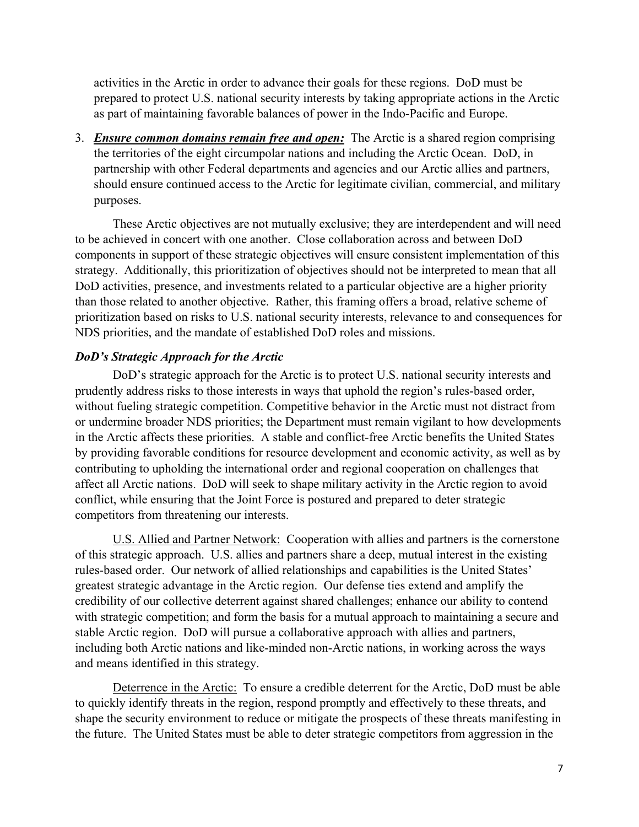activities in the Arctic in order to advance their goals for these regions. DoD must be prepared to protect U.S. national security interests by taking appropriate actions in the Arctic as part of maintaining favorable balances of power in the Indo-Pacific and Europe.

3. *Ensure common domains remain free and open:*The Arctic is a shared region comprising the territories of the eight circumpolar nations and including the Arctic Ocean. DoD, in partnership with other Federal departments and agencies and our Arctic allies and partners, should ensure continued access to the Arctic for legitimate civilian, commercial, and military purposes.

These Arctic objectives are not mutually exclusive; they are interdependent and will need to be achieved in concert with one another. Close collaboration across and between DoD components in support of these strategic objectives will ensure consistent implementation of this strategy. Additionally, this prioritization of objectives should not be interpreted to mean that all DoD activities, presence, and investments related to a particular objective are a higher priority than those related to another objective. Rather, this framing offers a broad, relative scheme of prioritization based on risks to U.S. national security interests, relevance to and consequences for NDS priorities, and the mandate of established DoD roles and missions.

### *DoD's Strategic Approach for the Arctic*

DoD's strategic approach for the Arctic is to protect U.S. national security interests and prudently address risks to those interests in ways that uphold the region's rules-based order, without fueling strategic competition. Competitive behavior in the Arctic must not distract from or undermine broader NDS priorities; the Department must remain vigilant to how developments in the Arctic affects these priorities. A stable and conflict-free Arctic benefits the United States by providing favorable conditions for resource development and economic activity, as well as by contributing to upholding the international order and regional cooperation on challenges that affect all Arctic nations. DoD will seek to shape military activity in the Arctic region to avoid conflict, while ensuring that the Joint Force is postured and prepared to deter strategic competitors from threatening our interests.

U.S. Allied and Partner Network: Cooperation with allies and partners is the cornerstone of this strategic approach. U.S. allies and partners share a deep, mutual interest in the existing rules-based order. Our network of allied relationships and capabilities is the United States' greatest strategic advantage in the Arctic region. Our defense ties extend and amplify the credibility of our collective deterrent against shared challenges; enhance our ability to contend with strategic competition; and form the basis for a mutual approach to maintaining a secure and stable Arctic region. DoD will pursue a collaborative approach with allies and partners, including both Arctic nations and like-minded non-Arctic nations, in working across the ways and means identified in this strategy.

Deterrence in the Arctic: To ensure a credible deterrent for the Arctic, DoD must be able to quickly identify threats in the region, respond promptly and effectively to these threats, and shape the security environment to reduce or mitigate the prospects of these threats manifesting in the future. The United States must be able to deter strategic competitors from aggression in the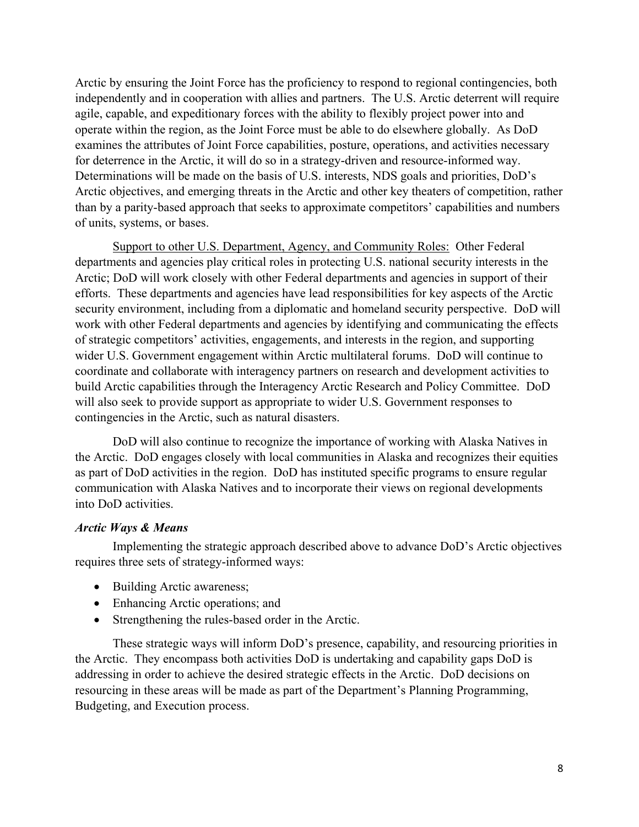Arctic by ensuring the Joint Force has the proficiency to respond to regional contingencies, both independently and in cooperation with allies and partners. The U.S. Arctic deterrent will require agile, capable, and expeditionary forces with the ability to flexibly project power into and operate within the region, as the Joint Force must be able to do elsewhere globally. As DoD examines the attributes of Joint Force capabilities, posture, operations, and activities necessary for deterrence in the Arctic, it will do so in a strategy-driven and resource-informed way. Determinations will be made on the basis of U.S. interests, NDS goals and priorities, DoD's Arctic objectives, and emerging threats in the Arctic and other key theaters of competition, rather than by a parity-based approach that seeks to approximate competitors' capabilities and numbers of units, systems, or bases.

Support to other U.S. Department, Agency, and Community Roles: Other Federal departments and agencies play critical roles in protecting U.S. national security interests in the Arctic; DoD will work closely with other Federal departments and agencies in support of their efforts. These departments and agencies have lead responsibilities for key aspects of the Arctic security environment, including from a diplomatic and homeland security perspective. DoD will work with other Federal departments and agencies by identifying and communicating the effects of strategic competitors' activities, engagements, and interests in the region, and supporting wider U.S. Government engagement within Arctic multilateral forums. DoD will continue to coordinate and collaborate with interagency partners on research and development activities to build Arctic capabilities through the Interagency Arctic Research and Policy Committee. DoD will also seek to provide support as appropriate to wider U.S. Government responses to contingencies in the Arctic, such as natural disasters.

DoD will also continue to recognize the importance of working with Alaska Natives in the Arctic. DoD engages closely with local communities in Alaska and recognizes their equities as part of DoD activities in the region. DoD has instituted specific programs to ensure regular communication with Alaska Natives and to incorporate their views on regional developments into DoD activities.

#### *Arctic Ways & Means*

Implementing the strategic approach described above to advance DoD's Arctic objectives requires three sets of strategy-informed ways:

- Building Arctic awareness;
- Enhancing Arctic operations; and
- Strengthening the rules-based order in the Arctic.

These strategic ways will inform DoD's presence, capability, and resourcing priorities in the Arctic. They encompass both activities DoD is undertaking and capability gaps DoD is addressing in order to achieve the desired strategic effects in the Arctic. DoD decisions on resourcing in these areas will be made as part of the Department's Planning Programming, Budgeting, and Execution process.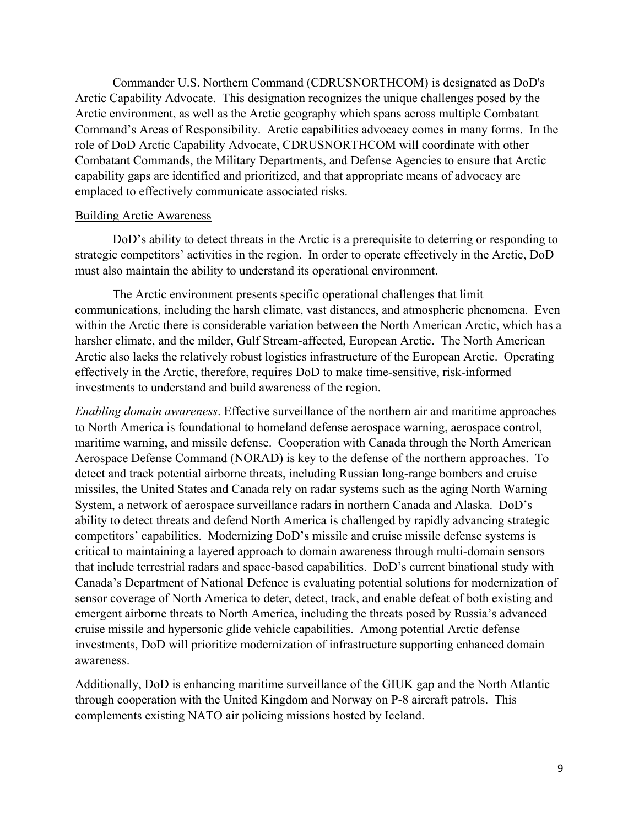Commander U.S. Northern Command (CDRUSNORTHCOM) is designated as DoD's Arctic Capability Advocate. This designation recognizes the unique challenges posed by the Arctic environment, as well as the Arctic geography which spans across multiple Combatant Command's Areas of Responsibility. Arctic capabilities advocacy comes in many forms. In the role of DoD Arctic Capability Advocate, CDRUSNORTHCOM will coordinate with other Combatant Commands, the Military Departments, and Defense Agencies to ensure that Arctic capability gaps are identified and prioritized, and that appropriate means of advocacy are emplaced to effectively communicate associated risks.

#### Building Arctic Awareness

DoD's ability to detect threats in the Arctic is a prerequisite to deterring or responding to strategic competitors' activities in the region. In order to operate effectively in the Arctic, DoD must also maintain the ability to understand its operational environment.

The Arctic environment presents specific operational challenges that limit communications, including the harsh climate, vast distances, and atmospheric phenomena. Even within the Arctic there is considerable variation between the North American Arctic, which has a harsher climate, and the milder, Gulf Stream-affected, European Arctic. The North American Arctic also lacks the relatively robust logistics infrastructure of the European Arctic. Operating effectively in the Arctic, therefore, requires DoD to make time-sensitive, risk-informed investments to understand and build awareness of the region.

*Enabling domain awareness*. Effective surveillance of the northern air and maritime approaches to North America is foundational to homeland defense aerospace warning, aerospace control, maritime warning, and missile defense. Cooperation with Canada through the North American Aerospace Defense Command (NORAD) is key to the defense of the northern approaches. To detect and track potential airborne threats, including Russian long-range bombers and cruise missiles, the United States and Canada rely on radar systems such as the aging North Warning System, a network of aerospace surveillance radars in northern Canada and Alaska. DoD's ability to detect threats and defend North America is challenged by rapidly advancing strategic competitors' capabilities. Modernizing DoD's missile and cruise missile defense systems is critical to maintaining a layered approach to domain awareness through multi-domain sensors that include terrestrial radars and space-based capabilities. DoD's current binational study with Canada's Department of National Defence is evaluating potential solutions for modernization of sensor coverage of North America to deter, detect, track, and enable defeat of both existing and emergent airborne threats to North America, including the threats posed by Russia's advanced cruise missile and hypersonic glide vehicle capabilities. Among potential Arctic defense investments, DoD will prioritize modernization of infrastructure supporting enhanced domain awareness.

Additionally, DoD is enhancing maritime surveillance of the GIUK gap and the North Atlantic through cooperation with the United Kingdom and Norway on P-8 aircraft patrols. This complements existing NATO air policing missions hosted by Iceland.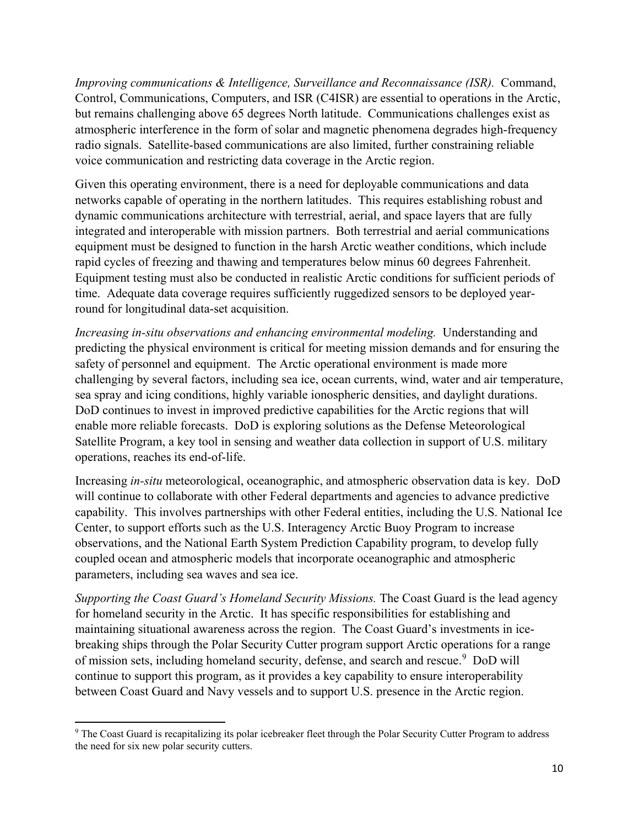*Improving communications & Intelligence, Surveillance and Reconnaissance (ISR).* Command, Control, Communications, Computers, and ISR (C4ISR) are essential to operations in the Arctic, but remains challenging above 65 degrees North latitude. Communications challenges exist as atmospheric interference in the form of solar and magnetic phenomena degrades high-frequency radio signals. Satellite-based communications are also limited, further constraining reliable voice communication and restricting data coverage in the Arctic region.

Given this operating environment, there is a need for deployable communications and data networks capable of operating in the northern latitudes. This requires establishing robust and dynamic communications architecture with terrestrial, aerial, and space layers that are fully integrated and interoperable with mission partners. Both terrestrial and aerial communications equipment must be designed to function in the harsh Arctic weather conditions, which include rapid cycles of freezing and thawing and temperatures below minus 60 degrees Fahrenheit. Equipment testing must also be conducted in realistic Arctic conditions for sufficient periods of time. Adequate data coverage requires sufficiently ruggedized sensors to be deployed yearround for longitudinal data-set acquisition.

*Increasing in-situ observations and enhancing environmental modeling.* Understanding and predicting the physical environment is critical for meeting mission demands and for ensuring the safety of personnel and equipment. The Arctic operational environment is made more challenging by several factors, including sea ice, ocean currents, wind, water and air temperature, sea spray and icing conditions, highly variable ionospheric densities, and daylight durations. DoD continues to invest in improved predictive capabilities for the Arctic regions that will enable more reliable forecasts. DoD is exploring solutions as the Defense Meteorological Satellite Program, a key tool in sensing and weather data collection in support of U.S. military operations, reaches its end-of-life.

Increasing *in-situ* meteorological, oceanographic, and atmospheric observation data is key. DoD will continue to collaborate with other Federal departments and agencies to advance predictive capability. This involves partnerships with other Federal entities, including the U.S. National Ice Center, to support efforts such as the U.S. Interagency Arctic Buoy Program to increase observations, and the National Earth System Prediction Capability program, to develop fully coupled ocean and atmospheric models that incorporate oceanographic and atmospheric parameters, including sea waves and sea ice.

*Supporting the Coast Guard's Homeland Security Missions.* The Coast Guard is the lead agency for homeland security in the Arctic. It has specific responsibilities for establishing and maintaining situational awareness across the region. The Coast Guard's investments in icebreaking ships through the Polar Security Cutter program support Arctic operations for a range of mission sets, including homeland security, defense, and search and rescue. <sup>9</sup> DoD will continue to support this program, as it provides a key capability to ensure interoperability between Coast Guard and Navy vessels and to support U.S. presence in the Arctic region.

 $\overline{a}$ 

<sup>&</sup>lt;sup>9</sup> The Coast Guard is recapitalizing its polar icebreaker fleet through the Polar Security Cutter Program to address the need for six new polar security cutters.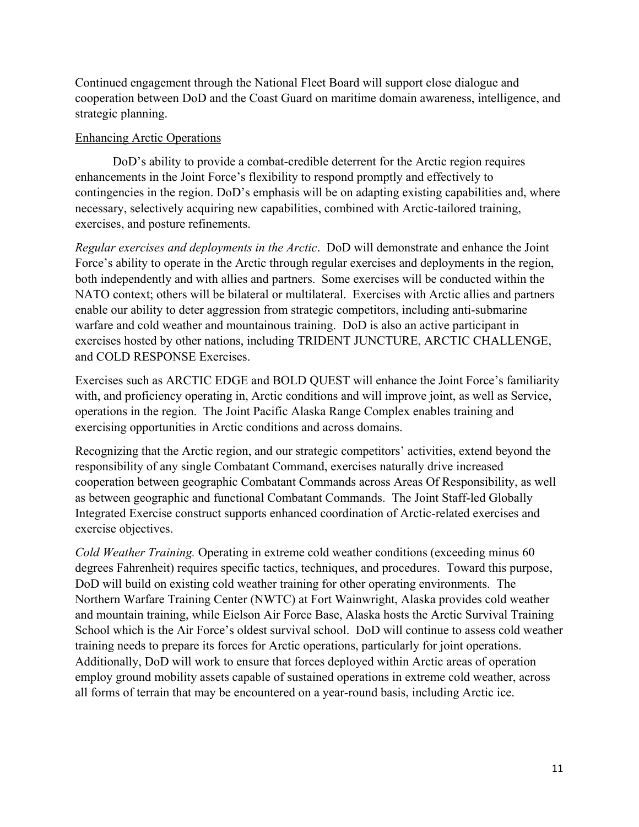Continued engagement through the National Fleet Board will support close dialogue and cooperation between DoD and the Coast Guard on maritime domain awareness, intelligence, and strategic planning.

### Enhancing Arctic Operations

DoD's ability to provide a combat-credible deterrent for the Arctic region requires enhancements in the Joint Force's flexibility to respond promptly and effectively to contingencies in the region. DoD's emphasis will be on adapting existing capabilities and, where necessary, selectively acquiring new capabilities, combined with Arctic-tailored training, exercises, and posture refinements.

*Regular exercises and deployments in the Arctic*. DoD will demonstrate and enhance the Joint Force's ability to operate in the Arctic through regular exercises and deployments in the region, both independently and with allies and partners. Some exercises will be conducted within the NATO context; others will be bilateral or multilateral. Exercises with Arctic allies and partners enable our ability to deter aggression from strategic competitors, including anti-submarine warfare and cold weather and mountainous training. DoD is also an active participant in exercises hosted by other nations, including TRIDENT JUNCTURE, ARCTIC CHALLENGE, and COLD RESPONSE Exercises.

Exercises such as ARCTIC EDGE and BOLD QUEST will enhance the Joint Force's familiarity with, and proficiency operating in, Arctic conditions and will improve joint, as well as Service, operations in the region. The Joint Pacific Alaska Range Complex enables training and exercising opportunities in Arctic conditions and across domains.

Recognizing that the Arctic region, and our strategic competitors' activities, extend beyond the responsibility of any single Combatant Command, exercises naturally drive increased cooperation between geographic Combatant Commands across Areas Of Responsibility, as well as between geographic and functional Combatant Commands. The Joint Staff-led Globally Integrated Exercise construct supports enhanced coordination of Arctic-related exercises and exercise objectives.

*Cold Weather Training.* Operating in extreme cold weather conditions (exceeding minus 60 degrees Fahrenheit) requires specific tactics, techniques, and procedures. Toward this purpose, DoD will build on existing cold weather training for other operating environments. The Northern Warfare Training Center (NWTC) at Fort Wainwright, Alaska provides cold weather and mountain training, while Eielson Air Force Base, Alaska hosts the Arctic Survival Training School which is the Air Force's oldest survival school. DoD will continue to assess cold weather training needs to prepare its forces for Arctic operations, particularly for joint operations. Additionally, DoD will work to ensure that forces deployed within Arctic areas of operation employ ground mobility assets capable of sustained operations in extreme cold weather, across all forms of terrain that may be encountered on a year-round basis, including Arctic ice.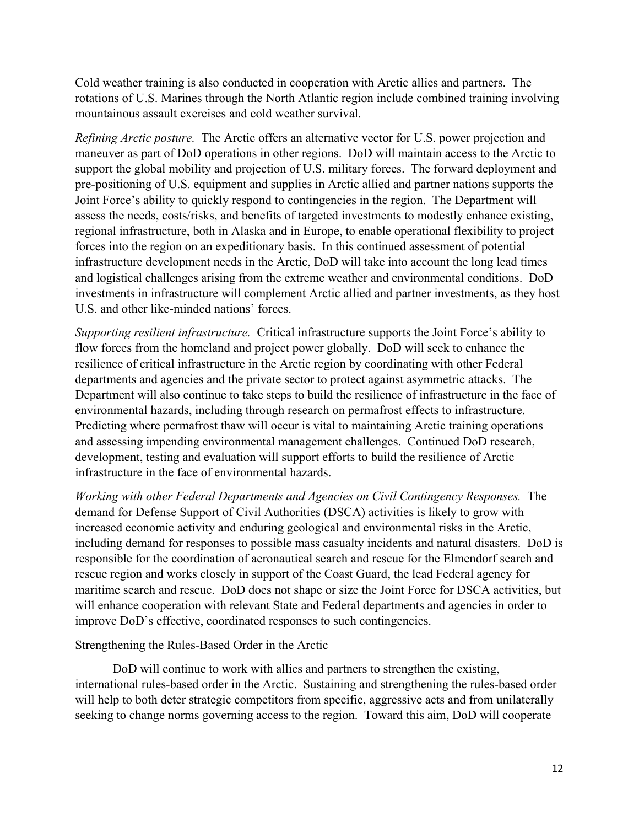Cold weather training is also conducted in cooperation with Arctic allies and partners. The rotations of U.S. Marines through the North Atlantic region include combined training involving mountainous assault exercises and cold weather survival.

*Refining Arctic posture.* The Arctic offers an alternative vector for U.S. power projection and maneuver as part of DoD operations in other regions. DoD will maintain access to the Arctic to support the global mobility and projection of U.S. military forces. The forward deployment and pre-positioning of U.S. equipment and supplies in Arctic allied and partner nations supports the Joint Force's ability to quickly respond to contingencies in the region. The Department will assess the needs, costs/risks, and benefits of targeted investments to modestly enhance existing, regional infrastructure, both in Alaska and in Europe, to enable operational flexibility to project forces into the region on an expeditionary basis. In this continued assessment of potential infrastructure development needs in the Arctic, DoD will take into account the long lead times and logistical challenges arising from the extreme weather and environmental conditions. DoD investments in infrastructure will complement Arctic allied and partner investments, as they host U.S. and other like-minded nations' forces.

*Supporting resilient infrastructure.* Critical infrastructure supports the Joint Force's ability to flow forces from the homeland and project power globally. DoD will seek to enhance the resilience of critical infrastructure in the Arctic region by coordinating with other Federal departments and agencies and the private sector to protect against asymmetric attacks. The Department will also continue to take steps to build the resilience of infrastructure in the face of environmental hazards, including through research on permafrost effects to infrastructure. Predicting where permafrost thaw will occur is vital to maintaining Arctic training operations and assessing impending environmental management challenges. Continued DoD research, development, testing and evaluation will support efforts to build the resilience of Arctic infrastructure in the face of environmental hazards.

*Working with other Federal Departments and Agencies on Civil Contingency Responses.* The demand for Defense Support of Civil Authorities (DSCA) activities is likely to grow with increased economic activity and enduring geological and environmental risks in the Arctic, including demand for responses to possible mass casualty incidents and natural disasters. DoD is responsible for the coordination of aeronautical search and rescue for the Elmendorf search and rescue region and works closely in support of the Coast Guard, the lead Federal agency for maritime search and rescue. DoD does not shape or size the Joint Force for DSCA activities, but will enhance cooperation with relevant State and Federal departments and agencies in order to improve DoD's effective, coordinated responses to such contingencies.

#### Strengthening the Rules-Based Order in the Arctic

DoD will continue to work with allies and partners to strengthen the existing, international rules-based order in the Arctic. Sustaining and strengthening the rules-based order will help to both deter strategic competitors from specific, aggressive acts and from unilaterally seeking to change norms governing access to the region. Toward this aim, DoD will cooperate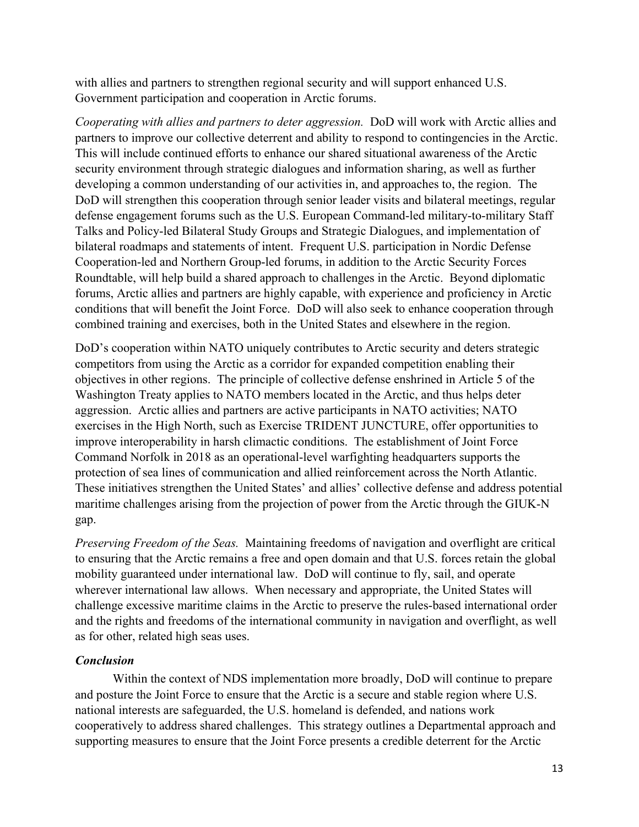with allies and partners to strengthen regional security and will support enhanced U.S. Government participation and cooperation in Arctic forums.

*Cooperating with allies and partners to deter aggression.* DoD will work with Arctic allies and partners to improve our collective deterrent and ability to respond to contingencies in the Arctic. This will include continued efforts to enhance our shared situational awareness of the Arctic security environment through strategic dialogues and information sharing, as well as further developing a common understanding of our activities in, and approaches to, the region. The DoD will strengthen this cooperation through senior leader visits and bilateral meetings, regular defense engagement forums such as the U.S. European Command-led military-to-military Staff Talks and Policy-led Bilateral Study Groups and Strategic Dialogues, and implementation of bilateral roadmaps and statements of intent. Frequent U.S. participation in Nordic Defense Cooperation-led and Northern Group-led forums, in addition to the Arctic Security Forces Roundtable, will help build a shared approach to challenges in the Arctic. Beyond diplomatic forums, Arctic allies and partners are highly capable, with experience and proficiency in Arctic conditions that will benefit the Joint Force. DoD will also seek to enhance cooperation through combined training and exercises, both in the United States and elsewhere in the region.

DoD's cooperation within NATO uniquely contributes to Arctic security and deters strategic competitors from using the Arctic as a corridor for expanded competition enabling their objectives in other regions. The principle of collective defense enshrined in Article 5 of the Washington Treaty applies to NATO members located in the Arctic, and thus helps deter aggression. Arctic allies and partners are active participants in NATO activities; NATO exercises in the High North, such as Exercise TRIDENT JUNCTURE, offer opportunities to improve interoperability in harsh climactic conditions. The establishment of Joint Force Command Norfolk in 2018 as an operational-level warfighting headquarters supports the protection of sea lines of communication and allied reinforcement across the North Atlantic. These initiatives strengthen the United States' and allies' collective defense and address potential maritime challenges arising from the projection of power from the Arctic through the GIUK-N gap.

*Preserving Freedom of the Seas.* Maintaining freedoms of navigation and overflight are critical to ensuring that the Arctic remains a free and open domain and that U.S. forces retain the global mobility guaranteed under international law. DoD will continue to fly, sail, and operate wherever international law allows. When necessary and appropriate, the United States will challenge excessive maritime claims in the Arctic to preserve the rules-based international order and the rights and freedoms of the international community in navigation and overflight, as well as for other, related high seas uses.

## *Conclusion*

Within the context of NDS implementation more broadly, DoD will continue to prepare and posture the Joint Force to ensure that the Arctic is a secure and stable region where U.S. national interests are safeguarded, the U.S. homeland is defended, and nations work cooperatively to address shared challenges. This strategy outlines a Departmental approach and supporting measures to ensure that the Joint Force presents a credible deterrent for the Arctic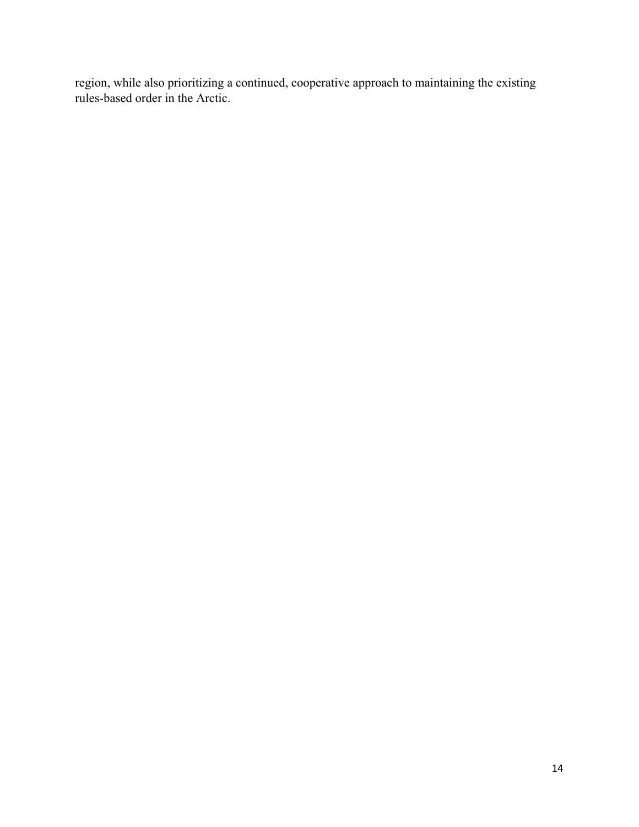region, while also prioritizing a continued, cooperative approach to maintaining the existing rules-based order in the Arctic.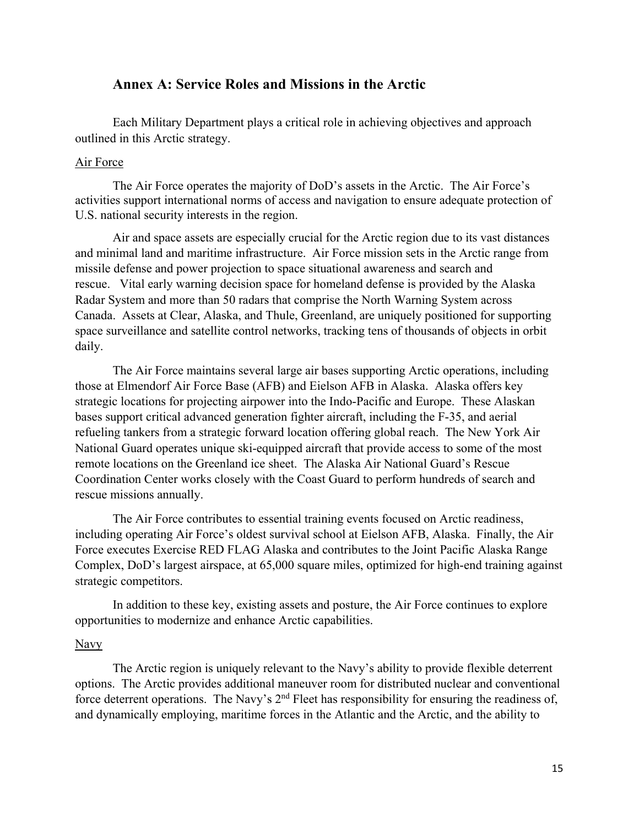## **Annex A: Service Roles and Missions in the Arctic**

Each Military Department plays a critical role in achieving objectives and approach outlined in this Arctic strategy.

#### Air Force

The Air Force operates the majority of DoD's assets in the Arctic. The Air Force's activities support international norms of access and navigation to ensure adequate protection of U.S. national security interests in the region.

Air and space assets are especially crucial for the Arctic region due to its vast distances and minimal land and maritime infrastructure. Air Force mission sets in the Arctic range from missile defense and power projection to space situational awareness and search and rescue. Vital early warning decision space for homeland defense is provided by the Alaska Radar System and more than 50 radars that comprise the North Warning System across Canada. Assets at Clear, Alaska, and Thule, Greenland, are uniquely positioned for supporting space surveillance and satellite control networks, tracking tens of thousands of objects in orbit daily.

The Air Force maintains several large air bases supporting Arctic operations, including those at Elmendorf Air Force Base (AFB) and Eielson AFB in Alaska. Alaska offers key strategic locations for projecting airpower into the Indo-Pacific and Europe. These Alaskan bases support critical advanced generation fighter aircraft, including the F-35, and aerial refueling tankers from a strategic forward location offering global reach. The New York Air National Guard operates unique ski-equipped aircraft that provide access to some of the most remote locations on the Greenland ice sheet. The Alaska Air National Guard's Rescue Coordination Center works closely with the Coast Guard to perform hundreds of search and rescue missions annually.

The Air Force contributes to essential training events focused on Arctic readiness, including operating Air Force's oldest survival school at Eielson AFB, Alaska. Finally, the Air Force executes Exercise RED FLAG Alaska and contributes to the Joint Pacific Alaska Range Complex, DoD's largest airspace, at 65,000 square miles, optimized for high-end training against strategic competitors.

In addition to these key, existing assets and posture, the Air Force continues to explore opportunities to modernize and enhance Arctic capabilities.

#### Navy

The Arctic region is uniquely relevant to the Navy's ability to provide flexible deterrent options. The Arctic provides additional maneuver room for distributed nuclear and conventional force deterrent operations. The Navy's 2<sup>nd</sup> Fleet has responsibility for ensuring the readiness of, and dynamically employing, maritime forces in the Atlantic and the Arctic, and the ability to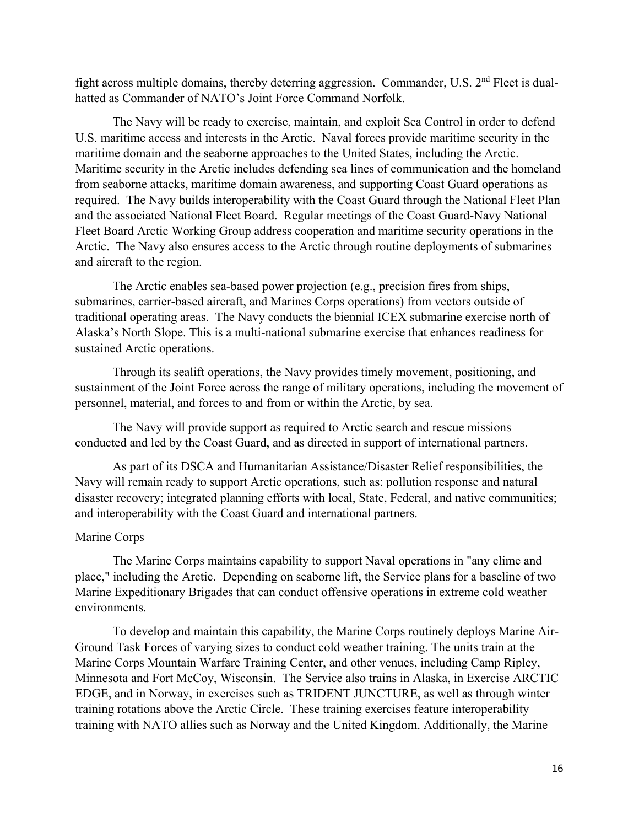fight across multiple domains, thereby deterring aggression. Commander, U.S. 2<sup>nd</sup> Fleet is dualhatted as Commander of NATO's Joint Force Command Norfolk.

The Navy will be ready to exercise, maintain, and exploit Sea Control in order to defend U.S. maritime access and interests in the Arctic. Naval forces provide maritime security in the maritime domain and the seaborne approaches to the United States, including the Arctic. Maritime security in the Arctic includes defending sea lines of communication and the homeland from seaborne attacks, maritime domain awareness, and supporting Coast Guard operations as required. The Navy builds interoperability with the Coast Guard through the National Fleet Plan and the associated National Fleet Board. Regular meetings of the Coast Guard-Navy National Fleet Board Arctic Working Group address cooperation and maritime security operations in the Arctic. The Navy also ensures access to the Arctic through routine deployments of submarines and aircraft to the region.

The Arctic enables sea-based power projection (e.g., precision fires from ships, submarines, carrier-based aircraft, and Marines Corps operations) from vectors outside of traditional operating areas. The Navy conducts the biennial ICEX submarine exercise north of Alaska's North Slope. This is a multi-national submarine exercise that enhances readiness for sustained Arctic operations.

Through its sealift operations, the Navy provides timely movement, positioning, and sustainment of the Joint Force across the range of military operations, including the movement of personnel, material, and forces to and from or within the Arctic, by sea.

The Navy will provide support as required to Arctic search and rescue missions conducted and led by the Coast Guard, and as directed in support of international partners.

As part of its DSCA and Humanitarian Assistance/Disaster Relief responsibilities, the Navy will remain ready to support Arctic operations, such as: pollution response and natural disaster recovery; integrated planning efforts with local, State, Federal, and native communities; and interoperability with the Coast Guard and international partners.

#### Marine Corps

The Marine Corps maintains capability to support Naval operations in "any clime and place," including the Arctic. Depending on seaborne lift, the Service plans for a baseline of two Marine Expeditionary Brigades that can conduct offensive operations in extreme cold weather environments.

To develop and maintain this capability, the Marine Corps routinely deploys Marine Air-Ground Task Forces of varying sizes to conduct cold weather training. The units train at the Marine Corps Mountain Warfare Training Center, and other venues, including Camp Ripley, Minnesota and Fort McCoy, Wisconsin. The Service also trains in Alaska, in Exercise ARCTIC EDGE, and in Norway, in exercises such as TRIDENT JUNCTURE, as well as through winter training rotations above the Arctic Circle. These training exercises feature interoperability training with NATO allies such as Norway and the United Kingdom. Additionally, the Marine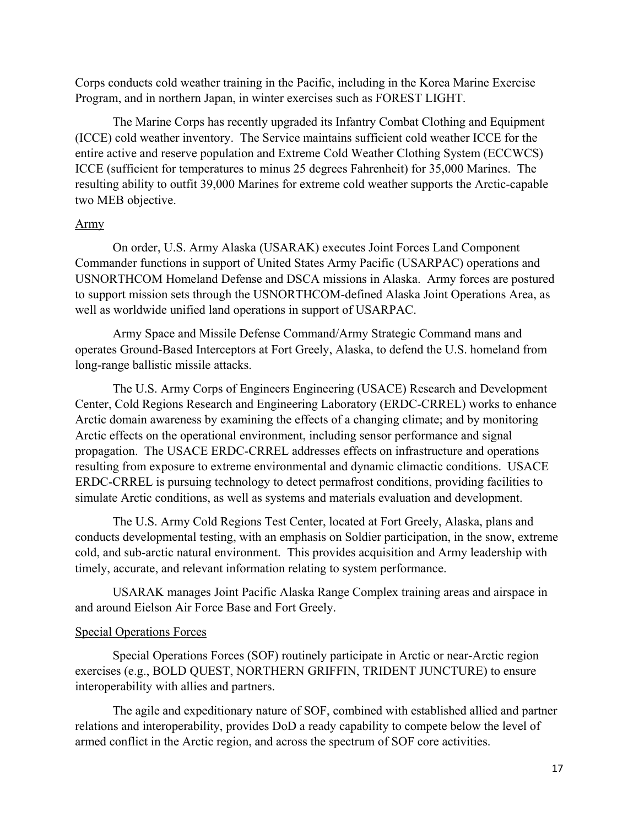Corps conducts cold weather training in the Pacific, including in the Korea Marine Exercise Program, and in northern Japan, in winter exercises such as FOREST LIGHT.

The Marine Corps has recently upgraded its Infantry Combat Clothing and Equipment (ICCE) cold weather inventory. The Service maintains sufficient cold weather ICCE for the entire active and reserve population and Extreme Cold Weather Clothing System (ECCWCS) ICCE (sufficient for temperatures to minus 25 degrees Fahrenheit) for 35,000 Marines. The resulting ability to outfit 39,000 Marines for extreme cold weather supports the Arctic-capable two MEB objective.

## Army

On order, U.S. Army Alaska (USARAK) executes Joint Forces Land Component Commander functions in support of United States Army Pacific (USARPAC) operations and USNORTHCOM Homeland Defense and DSCA missions in Alaska. Army forces are postured to support mission sets through the USNORTHCOM-defined Alaska Joint Operations Area, as well as worldwide unified land operations in support of USARPAC.

Army Space and Missile Defense Command/Army Strategic Command mans and operates Ground-Based Interceptors at Fort Greely, Alaska, to defend the U.S. homeland from long-range ballistic missile attacks.

The U.S. Army Corps of Engineers Engineering (USACE) Research and Development Center, Cold Regions Research and Engineering Laboratory (ERDC-CRREL) works to enhance Arctic domain awareness by examining the effects of a changing climate; and by monitoring Arctic effects on the operational environment, including sensor performance and signal propagation. The USACE ERDC-CRREL addresses effects on infrastructure and operations resulting from exposure to extreme environmental and dynamic climactic conditions. USACE ERDC-CRREL is pursuing technology to detect permafrost conditions, providing facilities to simulate Arctic conditions, as well as systems and materials evaluation and development.

The U.S. Army Cold Regions Test Center, located at Fort Greely, Alaska, plans and conducts developmental testing, with an emphasis on Soldier participation, in the snow, extreme cold, and sub-arctic natural environment. This provides acquisition and Army leadership with timely, accurate, and relevant information relating to system performance.

USARAK manages Joint Pacific Alaska Range Complex training areas and airspace in and around Eielson Air Force Base and Fort Greely.

## Special Operations Forces

Special Operations Forces (SOF) routinely participate in Arctic or near-Arctic region exercises (e.g., BOLD QUEST, NORTHERN GRIFFIN, TRIDENT JUNCTURE) to ensure interoperability with allies and partners.

The agile and expeditionary nature of SOF, combined with established allied and partner relations and interoperability, provides DoD a ready capability to compete below the level of armed conflict in the Arctic region, and across the spectrum of SOF core activities.